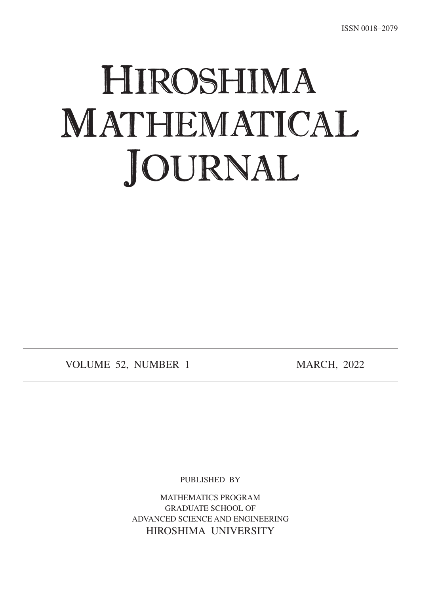## HIROSHIMA MATHEMATICAL. JOURNAL

VOLUME 52, NUMBER 1 MARCH, 2022

PUBLISHED BY

MATHEMATICS PROGRAM **GRADUATE SCHOOL OF** ADVANCED SCIENCE AND ENGINEERING HIROSHIMA UNIVERSITY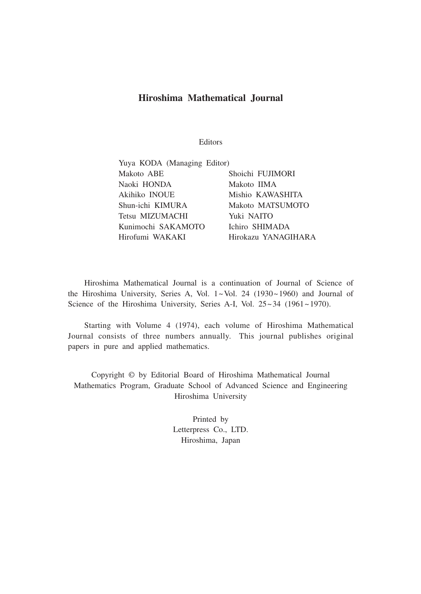## **Journal Mathematical Hiroshima**

Editors

| Yuya KODA (Managing Editor) |                     |
|-----------------------------|---------------------|
| Makoto ABE                  | Shoichi FUJIMORI    |
| Naoki HONDA                 | Makoto IIMA         |
| Akihiko INOUE               | Mishio KAWASHITA    |
| Shun-ichi KIMURA            | Makoto MATSUMOTO    |
| Tetsu MIZUMACHI             | Yuki NAITO          |
| Kunimochi SAKAMOTO          | Ichiro SHIMADA      |
| Hirofumi WAKAKI             | Hirokazu YANAGIHARA |

Hiroshima Mathematical Journal is a continuation of Journal of Science of the Hiroshima University, Series A, Vol.  $1 \sim$ Vol. 24 (1930 $\sim$ 1960) and Journal of Science of the Hiroshima University, Series A-I, Vol.  $25 \sim 34$  (1961~1970).

Starting with Volume 4 (1974), each volume of Hiroshima Mathematical Journal consists of three numbers annually. This journal publishes original papers in pure and applied mathematics.

Copyright © by Editorial Board of Hiroshima Mathematical Journal Mathematics Program, Graduate School of Advanced Science and Engineering Hiroshima University

> Printed by Letterpress Co., LTD. Hiroshima, Japan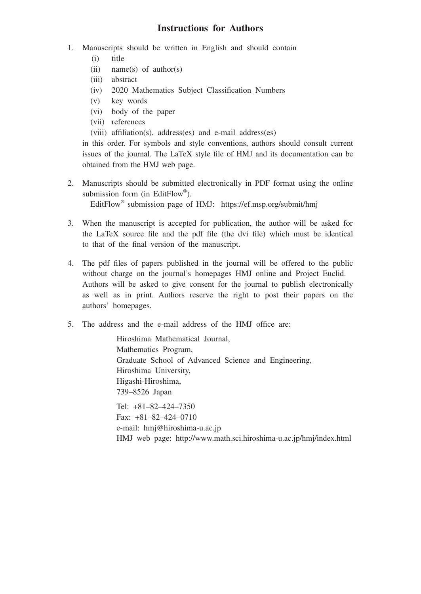## **Instructions for Authors**

- 1. Manuscripts should be written in English and should contain
	- $(i)$  title
	- (ii) name(s) of author(s)
	- (iii) abstract
	- $(iv)$  2020 Mathematics Subject Classification Numbers
	- $(v)$  key words
	- $(vi)$  body of the paper
	- (vii) references
	- $(viii)$  affiliation(s), address (es) and e-mail address (es)

in this order. For symbols and style conventions, authors should consult current issues of the journal. The LaTeX style file of HMJ and its documentation can be obtained from the HMJ web page.

2. Manuscripts should be submitted electronically in PDF format using the online submission form (in EditFlow®).

EditFlow<sup>®</sup> submission page of HMJ: https://ef.msp.org/submit/hmj

- 3. When the manuscript is accepted for publication, the author will be asked for the LaTeX source file and the pdf file (the dvi file) which must be identical to that of the final version of the manuscript.
- 4. The pdf files of papers published in the journal will be offered to the public without charge on the journal's homepages HMJ online and Project Euclid. Authors will be asked to give consent for the journal to publish electronically as well as in print. Authors reserve the right to post their papers on the authors' homepages.
- 5. The address and the e-mail address of the HMJ office are:

Hiroshima Mathematical Journal, Mathematics Program, Graduate School of Advanced Science and Engineering, Hiroshima University, Higashi-Hiroshima, 739-8526 Japan Tel:  $+81 - 82 - 424 - 7350$ Fax:  $+81-82-424-0710$ e-mail: hmj@hiroshima-u.ac.jp HMJ web page: http://www.math.sci.hiroshima-u.ac.jp/hmj/index.html